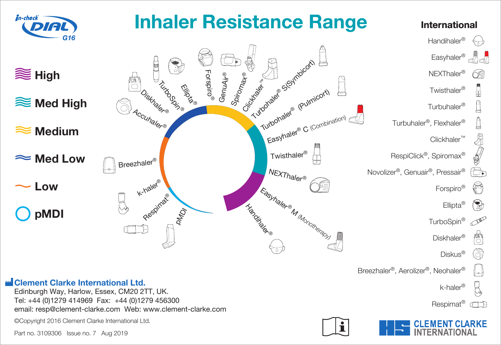

Part no. 3109306 Issue no. 7 Aug 2019